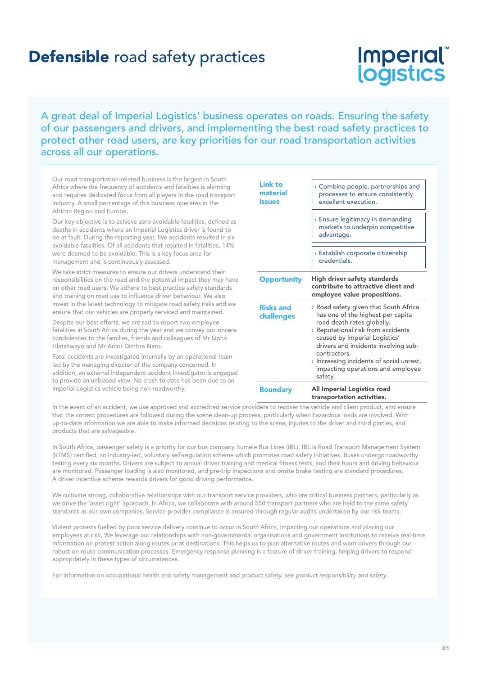# Imperial logistics

A great deal of Imperial Logistics' business operates on roads. Ensuring the safety of our passengers and drivers, and implementing the best road safety practices to protect other road users, are key priorities for our road transportation activities across all our operations.

Our road transportation-related business is the largest in South Africa where the frequency of accidents and fatalities is alarming and requires dedicated focus from all players in the road transport industry. A small percentage of this business operates in the African Region and Europe.

Our key objective is to achieve zero avoidable fatalities, defined as deaths in accidents where an Imperial Logistics driver is found to be at fault. During the reporting year, five accidents resulted in six avoidable fatalities. Of all accidents that resulted in fatalities, 14% were deemed to be avoidable. This is a key focus area for management and is continuously assessed.

We take strict measures to ensure our drivers understand their responsibilities on the road and the potential impact they may have on other road users. We adhere to best practice safety standards and training on road use to influence driver behaviour. We also invest in the latest technology to mitigate road safety risks and we ensure that our vehicles are properly serviced and maintained.

Despite our best efforts, we are sad to report two employee fatalities in South Africa during the year and we convey our sincere condolences to the families, friends and colleagues of Mr Sipho Hlatshwayo and Mr Amor Dimitre Nero.

Fatal accidents are investigated internally by an operational team led by the managing director of the company concerned. In addition, an external independent accident investigator is engaged to provide an unbiased view. No crash to date has been due to an Imperial Logistics vehicle being non-roadworthy.

| <b>Link to</b><br>material<br>issues | $\rightarrow$ Combine people, partnerships and<br>processes to ensure consistently<br>excellent execution.<br><b>Ensure legitimacy in demanding</b><br>markets to underpin competitive<br>advantage.<br>> Establish corporate citizenship<br>credentials.                                                                                       |  |  |  |  |
|--------------------------------------|-------------------------------------------------------------------------------------------------------------------------------------------------------------------------------------------------------------------------------------------------------------------------------------------------------------------------------------------------|--|--|--|--|
| <b>Opportunity</b>                   | High driver safety standards<br>contribute to attractive client and<br>employee value propositions.                                                                                                                                                                                                                                             |  |  |  |  |
| <b>Risks and</b><br>challenges       | > Road safety given that South Africa<br>has one of the highest per capita<br>road death rates globally.<br>> Reputational risk from accidents<br>caused by Imperial Logistics'<br>drivers and incidents involving sub-<br>contractors.<br>$\rightarrow$ Increasing incidents of social unrest,<br>impacting operations and employee<br>safety. |  |  |  |  |
| <b>Boundary</b>                      | All Imperial Logistics road<br>transportation activities.                                                                                                                                                                                                                                                                                       |  |  |  |  |

In the event of an accident, we use approved and accredited service providers to recover the vehicle and client product, and ensure that the correct procedures are followed during the scene clean-up process, particularly when hazardous loads are involved. With up-to-date information we are able to make informed decisions relating to the scene, injuries to the driver and third parties, and products that are salvageable.

In South Africa, passenger safety is a priority for our bus company Itumele Bus Lines (IBL). IBL is Road Transport Management System (RTMS) certified, an industry-led, voluntary self-regulation scheme which promotes road safety initiatives. Buses undergo roadworthy testing every six months. Drivers are subject to annual driver training and medical fitness tests, and their hours and driving behaviour are monitored. Passenger loading is also monitored, and pre-trip inspections and onsite brake testing are standard procedures. A driver incentive scheme rewards drivers for good driving performance.

We cultivate strong, collaborative relationships with our transport service providers, who are critical business partners, particularly as we drive the 'asset right' approach. In Africa, we collaborate with around 550 transport partners who are held to the same safety standards as our own companies. Service provider compliance is ensured through regular audits undertaken by our risk teams.

Violent protests fuelled by poor service delivery continue to occur in South Africa, impacting our operations and placing our employees at risk. We leverage our relationships with non-governmental organisations and government institutions to receive real-time information on protest action along routes or at destinations. This helps us to plan alternative routes and warn drivers through our robust on-route communication processes. Emergency response planning is a feature of driver training, helping drivers to respond appropriately in these types of circumstances.

For information on occupational health and safety management and product safety, see product responsibility and safety.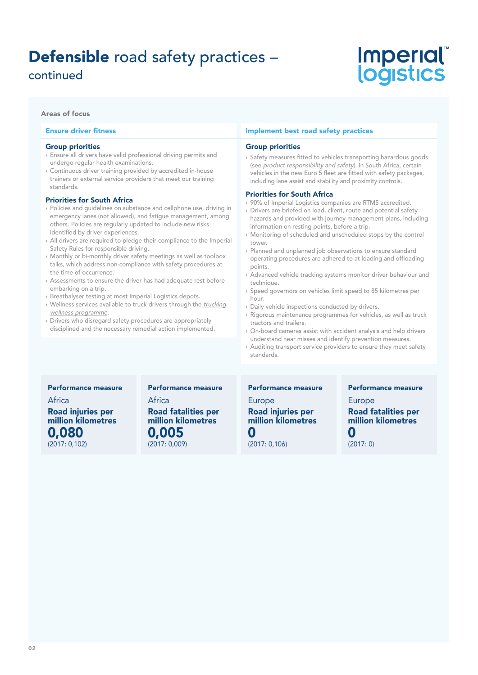## continued

# *Imperial* logistics

#### Areas of focus

#### Ensure driver fitness

#### Group priorities

- › Ensure all drivers have valid professional driving permits and undergo regular health examinations.
- › Continuous driver training provided by accredited in-house trainers or external service providers that meet our training standards.

#### Priorities for South Africa

- › Policies and guidelines on substance and cellphone use, driving in emergency lanes (not allowed), and fatigue management, among others. Policies are regularly updated to include new risks identified by driver experiences.
- › All drivers are required to pledge their compliance to the Imperial Safety Rules for responsible driving.
- › Monthly or bi-monthly driver safety meetings as well as toolbox talks, which address non-compliance with safety procedures at the time of occurrence.
- › Assessments to ensure the driver has had adequate rest before embarking on a trip.
- › Breathalyser testing at most Imperial Logistics depots.
- › Wellness services available to truck drivers through the trucking wellness programme.
- › Drivers who disregard safety procedures are appropriately disciplined and the necessary remedial action implemented.

#### Implement best road safety practices

#### Group priorities

› Safety measures fitted to vehicles transporting hazardous goods (see product responsibility and safety). In South Africa, certain vehicles in the new Euro 5 fleet are fitted with safety packages, including lane assist and stability and proximity controls.

#### Priorities for South Africa

- › 90% of Imperial Logistics companies are RTMS accredited.
- › Drivers are briefed on load, client, route and potential safety hazards and provided with journey management plans, including information on resting points, before a trip.
- › Monitoring of scheduled and unscheduled stops by the control tower.
- › Planned and unplanned job observations to ensure standard operating procedures are adhered to at loading and offloading points.
- › Advanced vehicle tracking systems monitor driver behaviour and technique.
- › Speed governors on vehicles limit speed to 85 kilometres per hour.
- › Daily vehicle inspections conducted by drivers.
- › Rigorous maintenance programmes for vehicles, as well as truck tractors and trailers.
- › On-board cameras assist with accident analysis and help drivers understand near misses and identify prevention measures.
- › Auditing transport service providers to ensure they meet safety standards.

#### Performance measure

Africa Road injuries per million kilometres 0,080 (2017: 0,102)

#### Performance measure

#### Africa Road fatalities per million kilometres 0,005 (2017: 0,009)

Performance measure

**Europe** Road injuries per million kilometres 0 (2017: 0,106)

Performance measure

Europe Road fatalities per million kilometres 0

(2017: 0)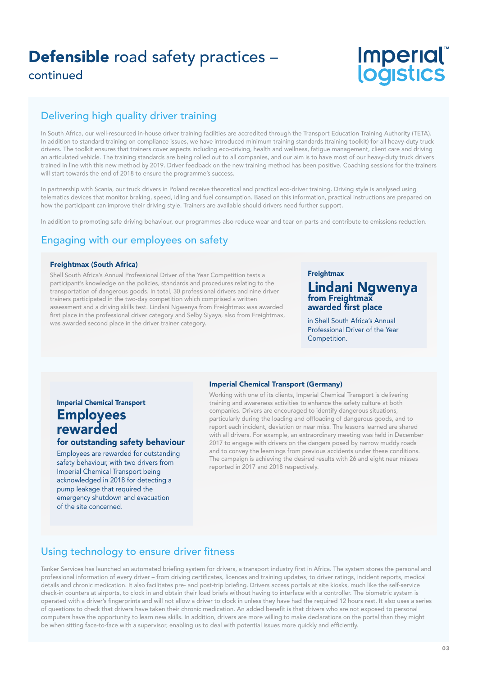continued

# Imperial®<br>logistics

## Delivering high quality driver training

In South Africa, our well-resourced in-house driver training facilities are accredited through the Transport Education Training Authority (TETA). In addition to standard training on compliance issues, we have introduced minimum training standards (training toolkit) for all heavy-duty truck drivers. The toolkit ensures that trainers cover aspects including eco-driving, health and wellness, fatigue management, client care and driving an articulated vehicle. The training standards are being rolled out to all companies, and our aim is to have most of our heavy-duty truck drivers trained in line with this new method by 2019. Driver feedback on the new training method has been positive. Coaching sessions for the trainers will start towards the end of 2018 to ensure the programme's success.

In partnership with Scania, our truck drivers in Poland receive theoretical and practical eco-driver training. Driving style is analysed using telematics devices that monitor braking, speed, idling and fuel consumption. Based on this information, practical instructions are prepared on how the participant can improve their driving style. Trainers are available should drivers need further support.

In addition to promoting safe driving behaviour, our programmes also reduce wear and tear on parts and contribute to emissions reduction.

## Engaging with our employees on safety

#### Freightmax (South Africa)

Shell South Africa's Annual Professional Driver of the Year Competition tests a participant's knowledge on the policies, standards and procedures relating to the transportation of dangerous goods. In total, 30 professional drivers and nine driver trainers participated in the two-day competition which comprised a written assessment and a driving skills test. Lindani Ngwenya from Freightmax was awarded first place in the professional driver category and Selby Siyaya, also from Freightmax, was awarded second place in the driver trainer category.

#### **Freightmax**

#### Lindani Ngwenya from Freightmax awarded first place

in Shell South Africa's Annual Professional Driver of the Year Competition.

#### Imperial Chemical Transport (Germany)

Imperial Chemical Transport **Employees** rewarded

#### for outstanding safety behaviour

Employees are rewarded for outstanding safety behaviour, with two drivers from Imperial Chemical Transport being acknowledged in 2018 for detecting a pump leakage that required the emergency shutdown and evacuation of the site concerned.

Working with one of its clients, Imperial Chemical Transport is delivering training and awareness activities to enhance the safety culture at both companies. Drivers are encouraged to identify dangerous situations, particularly during the loading and offloading of dangerous goods, and to report each incident, deviation or near miss. The lessons learned are shared with all drivers. For example, an extraordinary meeting was held in December 2017 to engage with drivers on the dangers posed by narrow muddy roads and to convey the learnings from previous accidents under these conditions. The campaign is achieving the desired results with 26 and eight near misses reported in 2017 and 2018 respectively.

## Using technology to ensure driver fitness

Tanker Services has launched an automated briefing system for drivers, a transport industry first in Africa. The system stores the personal and professional information of every driver – from driving certificates, licences and training updates, to driver ratings, incident reports, medical details and chronic medication. It also facilitates pre- and post-trip briefing. Drivers access portals at site kiosks, much like the self-service check-in counters at airports, to clock in and obtain their load briefs without having to interface with a controller. The biometric system is operated with a driver's fingerprints and will not allow a driver to clock in unless they have had the required 12 hours rest. It also uses a series of questions to check that drivers have taken their chronic medication. An added benefit is that drivers who are not exposed to personal computers have the opportunity to learn new skills. In addition, drivers are more willing to make declarations on the portal than they might be when sitting face-to-face with a supervisor, enabling us to deal with potential issues more quickly and efficiently.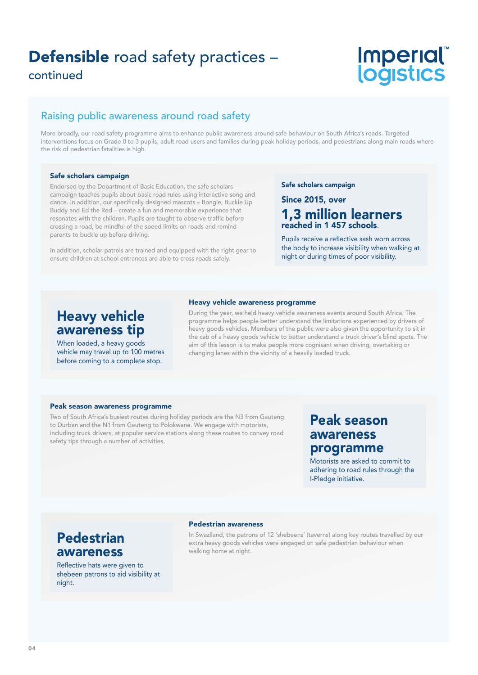continued

# **Imperial** logistics

### Raising public awareness around road safety

More broadly, our road safety programme aims to enhance public awareness around safe behaviour on South Africa's roads. Targeted interventions focus on Grade 0 to 3 pupils, adult road users and families during peak holiday periods, and pedestrians along main roads where the risk of pedestrian fatalities is high.

#### Safe scholars campaign

Endorsed by the Department of Basic Education, the safe scholars campaign teaches pupils about basic road rules using interactive song and dance. In addition, our specifically designed mascots – Bongie, Buckle Up Buddy and Ed the Red – create a fun and memorable experience that resonates with the children. Pupils are taught to observe traffic before crossing a road, be mindful of the speed limits on roads and remind parents to buckle up before driving.

In addition, scholar patrols are trained and equipped with the right gear to ensure children at school entrances are able to cross roads safely.

#### Safe scholars campaign

### Since 2015, over 1,3 million learners reached in 1 457 schools.

Pupils receive a reflective sash worn across the body to increase visibility when walking at night or during times of poor visibility.

# Heavy vehicle awareness programme

## Heavy vehicle awareness tip

When loaded, a heavy goods vehicle may travel up to 100 metres before coming to a complete stop.

During the year, we held heavy vehicle awareness events around South Africa. The programme helps people better understand the limitations experienced by drivers of heavy goods vehicles. Members of the public were also given the opportunity to sit in the cab of a heavy goods vehicle to better understand a truck driver's blind spots. The aim of this lesson is to make people more cognisant when driving, overtaking or changing lanes within the vicinity of a heavily loaded truck.

#### Peak season awareness programme

Two of South Africa's busiest routes during holiday periods are the N3 from Gauteng to Durban and the N1 from Gauteng to Polokwane. We engage with motorists, including truck drivers, at popular service stations along these routes to convey road safety tips through a number of activities.

## Peak season awareness programme

Motorists are asked to commit to adhering to road rules through the I-Pledge initiative.

# Pedestrian awareness

Reflective hats were given to shebeen patrons to aid visibility at night.

#### Pedestrian awareness

In Swaziland, the patrons of 12 'shebeens' (taverns) along key routes travelled by our extra heavy goods vehicles were engaged on safe pedestrian behaviour when walking home at night.